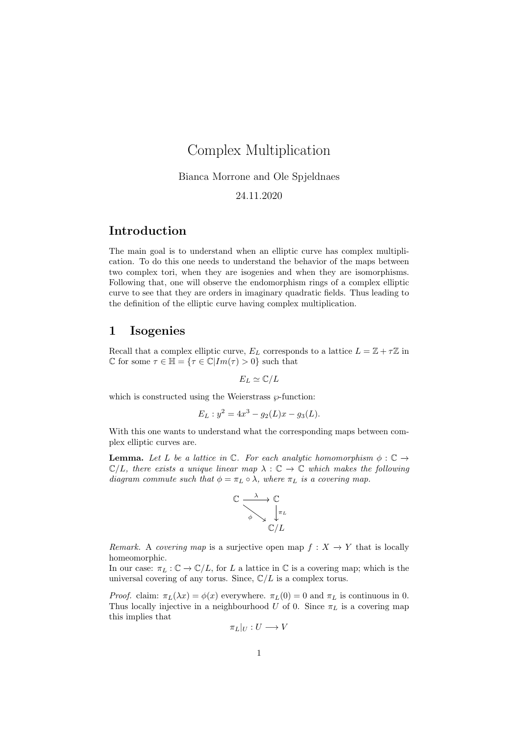# Complex Multiplication

Bianca Morrone and Ole Spjeldnaes

24.11.2020

### Introduction

The main goal is to understand when an elliptic curve has complex multiplication. To do this one needs to understand the behavior of the maps between two complex tori, when they are isogenies and when they are isomorphisms. Following that, one will observe the endomorphism rings of a complex elliptic curve to see that they are orders in imaginary quadratic fields. Thus leading to the definition of the elliptic curve having complex multiplication.

#### 1 Isogenies

Recall that a complex elliptic curve,  $E_L$  corresponds to a lattice  $L = \mathbb{Z} + \tau \mathbb{Z}$  in C for some  $\tau \in \mathbb{H} = {\tau \in \mathbb{C} | Im(\tau) > 0}$  such that

$$
E_L \simeq \mathbb{C}/L
$$

which is constructed using the Weierstrass  $\wp$ -function:

$$
E_L: y^2 = 4x^3 - g_2(L)x - g_3(L).
$$

With this one wants to understand what the corresponding maps between complex elliptic curves are.

**Lemma.** Let L be a lattice in  $\mathbb{C}$ . For each analytic homomorphism  $\phi : \mathbb{C} \rightarrow$  $\mathbb{C}/L$ , there exists a unique linear map  $\lambda : \mathbb{C} \to \mathbb{C}$  which makes the following diagram commute such that  $\phi = \pi_L \circ \lambda$ , where  $\pi_L$  is a covering map.



Remark. A covering map is a surjective open map  $f: X \to Y$  that is locally homeomorphic.

In our case:  $\pi_L : \mathbb{C} \to \mathbb{C}/L$ , for L a lattice in  $\mathbb C$  is a covering map; which is the universal covering of any torus. Since,  $\mathbb{C}/L$  is a complex torus.

*Proof.* claim:  $\pi_L(\lambda x) = \phi(x)$  everywhere.  $\pi_L(0) = 0$  and  $\pi_L$  is continuous in 0. Thus locally injective in a neighbourhood U of 0. Since  $\pi_L$  is a covering map this implies that

$$
\pi_L|_U:U\longrightarrow V
$$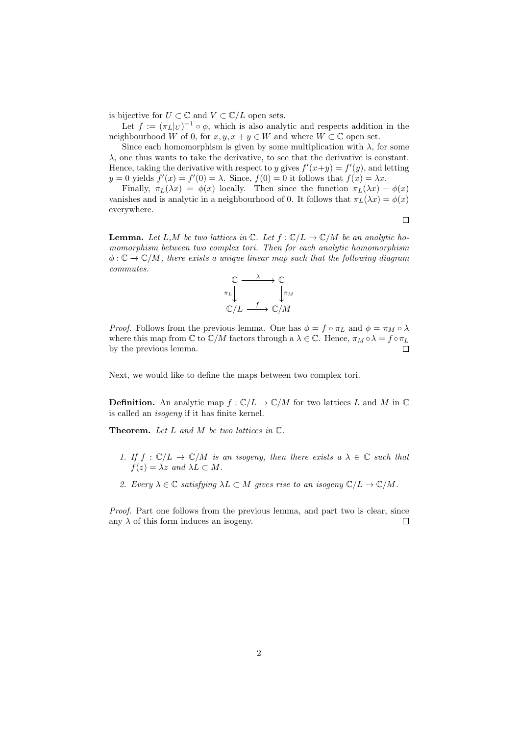is bijective for  $U \subset \mathbb{C}$  and  $V \subset \mathbb{C}/L$  open sets.

Let  $f := (\pi_L|_U)^{-1} \circ \phi$ , which is also analytic and respects addition in the neighbourhood W of 0, for  $x, y, x + y \in W$  and where  $W \subset \mathbb{C}$  open set.

Since each homomorphism is given by some multiplication with  $\lambda$ , for some  $\lambda$ , one thus wants to take the derivative, to see that the derivative is constant. Hence, taking the derivative with respect to y gives  $f'(x+y) = f'(y)$ , and letting  $y = 0$  yields  $f'(x) = f'(0) = \lambda$ . Since,  $f(0) = 0$  it follows that  $f(x) = \lambda x$ .

Finally,  $\pi_L(\lambda x) = \phi(x)$  locally. Then since the function  $\pi_L(\lambda x) - \phi(x)$ vanishes and is analytic in a neighbourhood of 0. It follows that  $\pi_L(\lambda x) = \phi(x)$ everywhere.

**Lemma.** Let L,M be two lattices in  $\mathbb{C}$ . Let  $f : \mathbb{C}/L \to \mathbb{C}/M$  be an analytic homomorphism between two complex tori. Then for each analytic homomorphism  $\phi : \mathbb{C} \to \mathbb{C}/M$ , there exists a unique linear map such that the following diagram commutes.



*Proof.* Follows from the previous lemma. One has  $\phi = f \circ \pi_L$  and  $\phi = \pi_M \circ \lambda$ where this map from  $\mathbb C$  to  $\mathbb C/M$  factors through a  $\lambda \in \mathbb C$ . Hence,  $\pi_M \circ \lambda = f \circ \pi_L$ by the previous lemma.  $\Box$ 

Next, we would like to define the maps between two complex tori.

**Definition.** An analytic map  $f : \mathbb{C}/L \to \mathbb{C}/M$  for two lattices L and M in  $\mathbb{C}$ is called an isogeny if it has finite kernel.

**Theorem.** Let  $L$  and  $M$  be two lattices in  $\mathbb{C}$ .

- 1. If  $f : \mathbb{C}/L \to \mathbb{C}/M$  is an isogeny, then there exists  $a \lambda \in \mathbb{C}$  such that  $f(z) = \lambda z$  and  $\lambda L \subset M$ .
- 2. Every  $\lambda \in \mathbb{C}$  satisfying  $\lambda L \subset M$  gives rise to an isogeny  $\mathbb{C}/L \to \mathbb{C}/M$ .

Proof. Part one follows from the previous lemma, and part two is clear, since any  $\lambda$  of this form induces an isogeny.  $\Box$ 

 $\Box$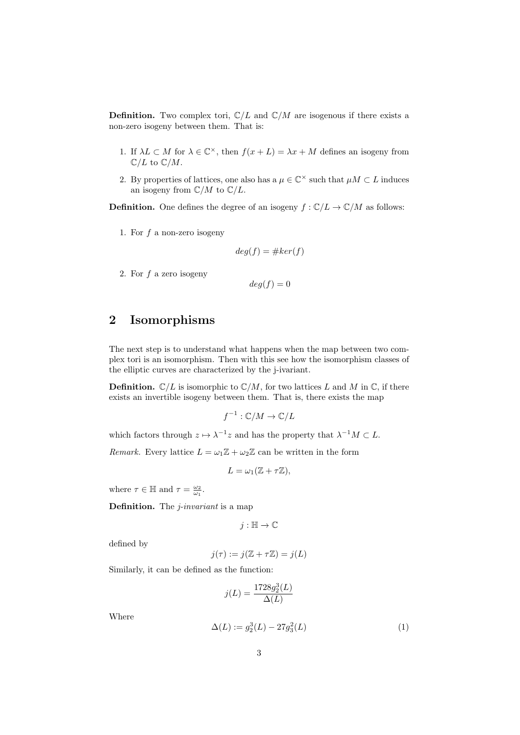**Definition.** Two complex tori,  $\mathbb{C}/L$  and  $\mathbb{C}/M$  are isogenous if there exists a non-zero isogeny between them. That is:

- 1. If  $\lambda L \subset M$  for  $\lambda \in \mathbb{C}^{\times}$ , then  $f(x+L) = \lambda x + M$  defines an isogeny from  $\mathbb{C}/L$  to  $\mathbb{C}/M$ .
- 2. By properties of lattices, one also has a  $\mu \in \mathbb{C}^{\times}$  such that  $\mu M \subset L$  induces an isogeny from  $\mathbb{C}/M$  to  $\mathbb{C}/L$ .

**Definition.** One defines the degree of an isogeny  $f : \mathbb{C}/L \to \mathbb{C}/M$  as follows:

1. For  $f$  a non-zero isogeny

$$
deg(f) = \#ker(f)
$$

2. For f a zero isogeny

$$
deg(f) = 0
$$

#### 2 Isomorphisms

The next step is to understand what happens when the map between two complex tori is an isomorphism. Then with this see how the isomorphism classes of the elliptic curves are characterized by the j-ivariant.

**Definition.**  $\mathbb{C}/L$  is isomorphic to  $\mathbb{C}/M$ , for two lattices L and M in  $\mathbb{C}$ , if there exists an invertible isogeny between them. That is, there exists the map

$$
f^{-1} : \mathbb{C}/M \to \mathbb{C}/L
$$

which factors through  $z \mapsto \lambda^{-1}z$  and has the property that  $\lambda^{-1}M \subset L$ .

Remark. Every lattice  $L = \omega_1 \mathbb{Z} + \omega_2 \mathbb{Z}$  can be written in the form

$$
L = \omega_1(\mathbb{Z} + \tau \mathbb{Z}),
$$

where  $\tau \in \mathbb{H}$  and  $\tau = \frac{\omega_2}{\omega_1}$ .

Definition. The *j*-invariant is a map

$$
j:\mathbb{H}\to\mathbb{C}
$$

defined by

$$
j(\tau) := j(\mathbb{Z} + \tau \mathbb{Z}) = j(L)
$$

Similarly, it can be defined as the function:

$$
j(L) = \frac{1728g_2^3(L)}{\Delta(L)}
$$

Where

$$
\Delta(L) := g_2^3(L) - 27g_3^2(L) \tag{1}
$$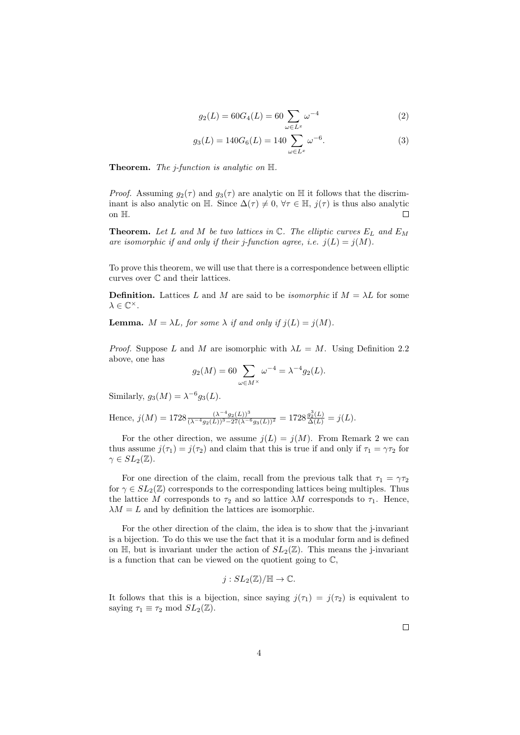$$
g_2(L) = 60G_4(L) = 60 \sum_{\omega \in L^x} \omega^{-4}
$$
 (2)

$$
g_3(L) = 140G_6(L) = 140 \sum_{\omega \in L^x} \omega^{-6}.
$$
 (3)

**Theorem.** The *j*-function is analytic on  $H$ .

*Proof.* Assuming  $g_2(\tau)$  and  $g_3(\tau)$  are analytic on H it follows that the discriminant is also analytic on H. Since  $\Delta(\tau) \neq 0$ ,  $\forall \tau \in \mathbb{H}$ ,  $j(\tau)$  is thus also analytic on H.  $\Box$ 

**Theorem.** Let L and M be two lattices in  $\mathbb{C}$ . The elliptic curves  $E_L$  and  $E_M$ are isomorphic if and only if their j-function agree, i.e.  $j(L) = j(M)$ .

To prove this theorem, we will use that there is a correspondence between elliptic curves over C and their lattices.

**Definition.** Lattices L and M are said to be *isomorphic* if  $M = \lambda L$  for some  $\lambda \in \mathbb{C}^{\times}$ .

**Lemma.**  $M = \lambda L$ , for some  $\lambda$  if and only if  $j(L) = j(M)$ .

*Proof.* Suppose L and M are isomorphic with  $\lambda L = M$ . Using Definition 2.2 above, one has

$$
g_2(M) = 60 \sum_{\omega \in M^{\times}} \omega^{-4} = \lambda^{-4} g_2(L).
$$

Similarly,  $g_3(M) = \lambda^{-6} g_3(L)$ .

Hence, 
$$
j(M) = 1728 \frac{(\lambda^{-4} g_2(L))^3}{(\lambda^{-4} g_2(L))^3 - 27(\lambda^{-6} g_3(L))^2} = 1728 \frac{g_2^3(L)}{\Delta(L)} = j(L).
$$

For the other direction, we assume  $j(L) = j(M)$ . From Remark 2 we can thus assume  $j(\tau_1) = j(\tau_2)$  and claim that this is true if and only if  $\tau_1 = \gamma \tau_2$  for  $\gamma \in SL_2(\mathbb{Z})$ .

For one direction of the claim, recall from the previous talk that  $\tau_1 = \gamma \tau_2$ for  $\gamma \in SL_2(\mathbb{Z})$  corresponds to the corresponding lattices being multiples. Thus the lattice M corresponds to  $\tau_2$  and so lattice  $\lambda M$  corresponds to  $\tau_1$ . Hence,  $\lambda M = L$  and by definition the lattices are isomorphic.

For the other direction of the claim, the idea is to show that the j-invariant is a bijection. To do this we use the fact that it is a modular form and is defined on  $\mathbb{H}$ , but is invariant under the action of  $SL_2(\mathbb{Z})$ . This means the j-invariant is a function that can be viewed on the quotient going to  $\mathbb{C}$ ,

$$
j:SL_2(\mathbb{Z})/\mathbb{H}\to\mathbb{C}.
$$

It follows that this is a bijection, since saying  $j(\tau_1) = j(\tau_2)$  is equivalent to saying  $\tau_1 \equiv \tau_2 \mod SL_2(\mathbb{Z})$ .

 $\Box$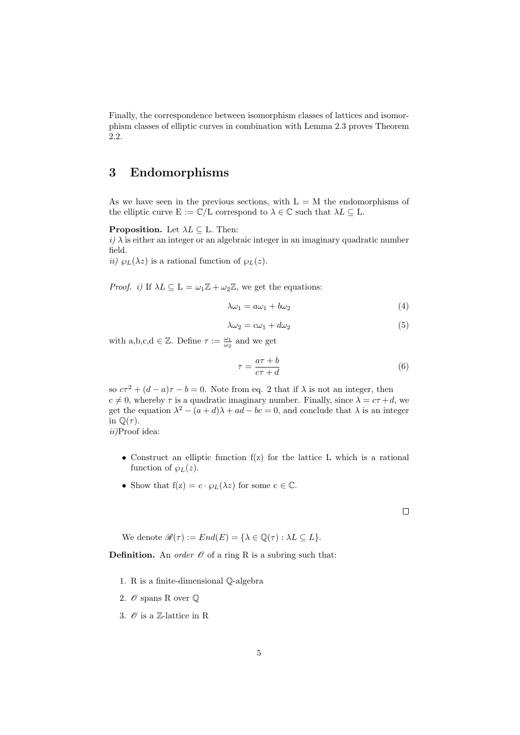Finally, the correspondence between isomorphism classes of lattices and isomorphism classes of elliptic curves in combination with Lemma 2.3 proves Theorem 2.2.

### 3 Endomorphisms

As we have seen in the previous sections, with  $L = M$  the endomorphisms of the elliptic curve  $E := \mathbb{C}/L$  correspond to  $\lambda \in \mathbb{C}$  such that  $\lambda L \subseteq L$ .

**Proposition.** Let  $\lambda L \subseteq L$ . Then:

 $i)$   $\lambda$  is either an integer or an algebraic integer in an imaginary quadratic number field.

*ii*)  $\wp_L(\lambda z)$  is a rational function of  $\wp_L(z)$ .

*Proof. i*) If  $\lambda L \subseteq L = \omega_1 \mathbb{Z} + \omega_2 \mathbb{Z}$ , we get the equations:

$$
\lambda \omega_1 = a\omega_1 + b\omega_2 \tag{4}
$$

$$
\lambda \omega_2 = c\omega_1 + d\omega_2 \tag{5}
$$

with a,b,c,d  $\in \mathbb{Z}$ . Define  $\tau := \frac{\omega_1}{\omega_2}$  and we get

$$
\tau = \frac{a\tau + b}{c\tau + d} \tag{6}
$$

 $\Box$ 

so  $c\tau^2 + (d - a)\tau - b = 0$ . Note from eq. 2 that if  $\lambda$  is not an integer, then  $c \neq 0$ , whereby  $\tau$  is a quadratic imaginary number. Finally, since  $\lambda = c\tau + d$ , we get the equation  $\lambda^2 - (a+d)\lambda + ad - bc = 0$ , and conclude that  $\lambda$  is an integer in  $\mathbb{Q}(\tau)$ .

ii)Proof idea:

• Construct an elliptic function f(z) for the lattice L which is a rational function of  $\wp_L(z)$ .

5

• Show that  $f(z) = c \cdot \varphi_L(\lambda z)$  for some  $c \in \mathbb{C}$ .

We denote  $\mathcal{R}(\tau) := End(E) = {\lambda \in \mathbb{Q}(\tau) : \lambda L \subseteq L}.$ 

**Definition.** An *order*  $\mathcal O$  of a ring R is a subring such that:

- 1. R is a finite-dimensional Q-algebra
- 2.  $\mathscr O$  spans R over  $\mathbb Q$
- 3.  $\mathcal O$  is a Z-lattice in R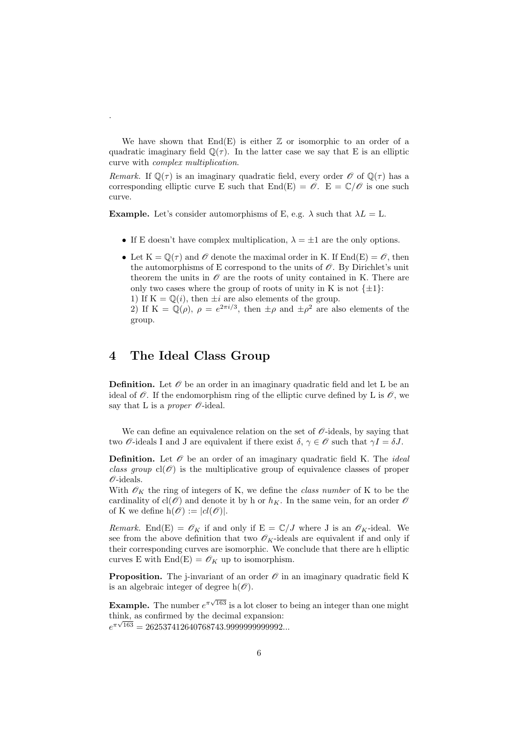We have shown that  $End(E)$  is either  $\mathbb Z$  or isomorphic to an order of a quadratic imaginary field  $\mathbb{O}(\tau)$ . In the latter case we say that E is an elliptic curve with complex multiplication.

Remark. If  $\mathbb{Q}(\tau)$  is an imaginary quadratic field, every order  $\mathscr{O}$  of  $\mathbb{Q}(\tau)$  has a corresponding elliptic curve E such that  $End(E) = \mathcal{O}$ .  $E = \mathbb{C}/\mathcal{O}$  is one such curve.

**Example.** Let's consider automorphisms of E, e.g.  $\lambda$  such that  $\lambda L = L$ .

- If E doesn't have complex multiplication,  $\lambda = \pm 1$  are the only options.
- Let  $K = \mathbb{Q}(\tau)$  and  $\mathscr O$  denote the maximal order in K. If End(E) =  $\mathscr O$ , then the automorphisms of E correspond to the units of  $\mathscr O$ . By Dirichlet's unit theorem the units in  $\mathcal O$  are the roots of unity contained in K. There are only two cases where the group of roots of unity in K is not  $\{\pm 1\}$ : 1) If  $K = \mathbb{Q}(i)$ , then  $\pm i$  are also elements of the group.

2) If  $K = \mathbb{Q}(\rho)$ ,  $\rho = e^{2\pi i/3}$ , then  $\pm \rho$  and  $\pm \rho^2$  are also elements of the group.

#### 4 The Ideal Class Group

.

**Definition.** Let  $\mathcal{O}$  be an order in an imaginary quadratic field and let L be an ideal of  $\mathscr O$ . If the endomorphism ring of the elliptic curve defined by L is  $\mathscr O$ , we say that L is a proper  $\mathcal{O}\text{-ideal}$ .

We can define an equivalence relation on the set of  $\mathcal{O}\text{-ideals}$ , by saying that two  $\mathscr O$ -ideals I and J are equivalent if there exist  $\delta, \gamma \in \mathscr O$  such that  $\gamma I = \delta J$ .

**Definition.** Let  $\mathcal O$  be an order of an imaginary quadratic field K. The *ideal* class group  $cl(\mathcal{O})$  is the multiplicative group of equivalence classes of proper  $\mathcal{O}$ -ideals.

With  $\mathscr{O}_K$  the ring of integers of K, we define the *class number* of K to be the cardinality of  $\text{cl}(\mathscr{O})$  and denote it by h or  $h_K$ . In the same vein, for an order  $\mathscr{O}$ of K we define  $h(\mathscr{O}) := |cl(\mathscr{O})|$ .

Remark. End(E) =  $\mathscr{O}_K$  if and only if E =  $\mathbb{C}/J$  where J is an  $\mathscr{O}_K$ -ideal. We see from the above definition that two  $\mathscr{O}_K$ -ideals are equivalent if and only if their corresponding curves are isomorphic. We conclude that there are h elliptic curves E with  $\text{End}(E) = \mathscr{O}_K$  up to isomorphism.

**Proposition.** The j-invariant of an order  $\mathcal O$  in an imaginary quadratic field K is an algebraic integer of degree  $h(\mathscr{O})$ .

**Example.** The number  $e^{\pi\sqrt{163}}$  is a lot closer to being an integer than one might think, as confirmed by the decimal expansion:  $e^{\pi\sqrt{163}} = 262537412640768743.999999999992...$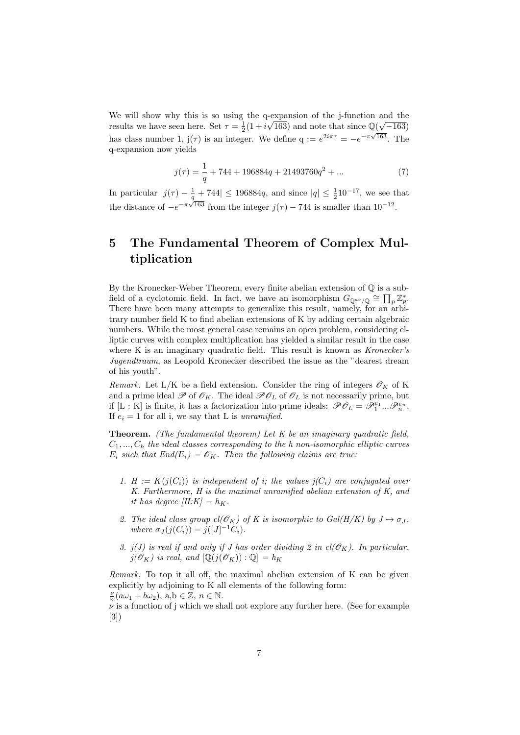We will show why this is so using the q-expansion of the j-function and the results we have seen here. Set  $\tau = \frac{1}{2}(1 + i\sqrt{163})$  and note that since  $\mathbb{Q}(\sqrt{-163})$ has class number 1,  $j(\tau)$  is an integer. We define  $q := e^{2i\pi\tau} = -e^{-\pi\sqrt{163}}$ . The q-expansion now yields

$$
j(\tau) = \frac{1}{q} + 744 + 196884q + 21493760q^2 + \dots \tag{7}
$$

In particular  $|j(\tau) - \frac{1}{q} + 744| \le 196884q$ , and since  $|q| \le \frac{1}{2} 10^{-17}$ , we see that the distance of  $-e^{-\pi\sqrt{163}}$  from the integer  $j(\tau)$  – 744 is smaller than 10<sup>-12</sup>.

## 5 The Fundamental Theorem of Complex Multiplication

By the Kronecker-Weber Theorem, every finite abelian extension of Q is a subfield of a cyclotomic field. In fact, we have an isomorphism  $G_{\mathbb{Q}^{ab}/\mathbb{Q}} \cong \prod_p \mathbb{Z}_p^*$ . There have been many attempts to generalize this result, namely, for an arbitrary number field K to find abelian extensions of K by adding certain algebraic numbers. While the most general case remains an open problem, considering elliptic curves with complex multiplication has yielded a similar result in the case where K is an imaginary quadratic field. This result is known as  $Kronecker's$ Jugendtraum, as Leopold Kronecker described the issue as the "dearest dream of his youth".

Remark. Let L/K be a field extension. Consider the ring of integers  $\mathscr{O}_K$  of K and a prime ideal  $\mathscr P$  of  $\mathscr O_K$ . The ideal  $\mathscr P\mathscr O_L$  of  $\mathscr O_L$  is not necessarily prime, but if [L : K] is finite, it has a factorization into prime ideals:  $\mathscr{P} \mathscr{O}_L = \mathscr{P}_1^{e_1} \dots \mathscr{P}_n^{e_n}$ . If  $e_i = 1$  for all i, we say that L is unramified.

**Theorem.** (The fundamental theorem) Let  $K$  be an imaginary quadratic field,  $C_1, ..., C_h$  the ideal classes corresponding to the h non-isomorphic elliptic curves  $E_i$  such that  $End(E_i) = \mathcal{O}_K$ . Then the following claims are true:

- 1. H :=  $K(j(C_i))$  is independent of i; the values  $j(C_i)$  are conjugated over K. Furthermore, H is the maximal unramified abelian extension of K, and it has degree  $[H:K] = h_K$ .
- 2. The ideal class group  $cl(\mathscr{O}_K)$  of K is isomorphic to  $Gal(H/K)$  by  $J \mapsto \sigma_J$ , where  $\sigma_J(j(C_i)) = j([J]^{-1}C_i)$ .
- 3. j(J) is real if and only if J has order dividing 2 in  $\text{cl}(\mathscr{O}_K)$ . In particular,  $j(\mathscr{O}_K)$  is real, and  $[\mathbb{Q}(j(\mathscr{O}_K)) : \mathbb{Q}] = h_K$

Remark. To top it all off, the maximal abelian extension of K can be given explicitly by adjoining to K all elements of the following form:  $\frac{\nu}{n}(a\omega_1+b\omega_2), \text{ a,b} \in \mathbb{Z}, \text{ } n \in \mathbb{N}.$ 

 $\nu$  is a function of j which we shall not explore any further here. (See for example [3])